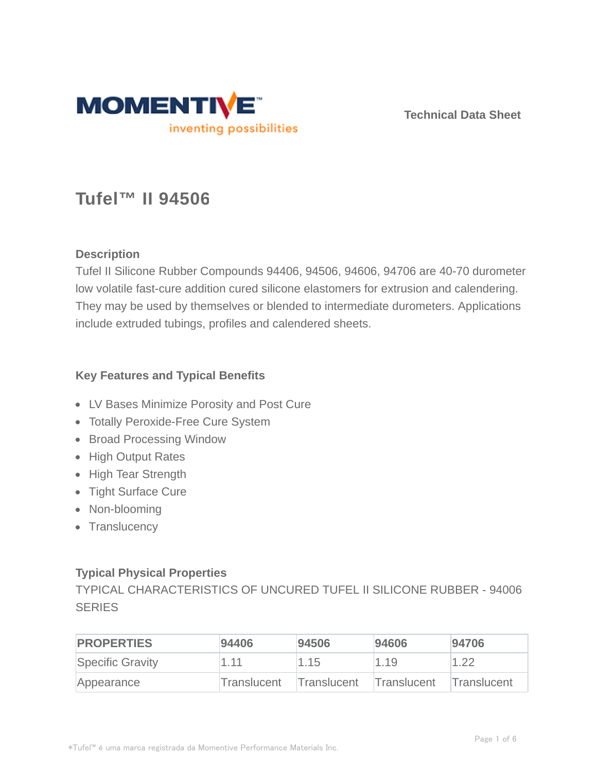

**Technical Data Sheet**

# **Tufel™ II 94506**

# **Description**

Tufel II Silicone Rubber Compounds 94406, 94506, 94606, 94706 are 40-70 durometer low volatile fast-cure addition cured silicone elastomers for extrusion and calendering. They may be used by themselves or blended to intermediate durometers. Applications include extruded tubings, profiles and calendered sheets.

## **Key Features and Typical Benefits**

- LV Bases Minimize Porosity and Post Cure
- Totally Peroxide-Free Cure System
- Broad Processing Window
- High Output Rates
- High Tear Strength
- Tight Surface Cure
- Non-blooming
- Translucency

# **Typical Physical Properties**

TYPICAL CHARACTERISTICS OF UNCURED TUFEL II SILICONE RUBBER - 94006 **SERIES** 

| <b>PROPERTIES</b> | 94406       | 94506       | 94606       | 94706              |
|-------------------|-------------|-------------|-------------|--------------------|
| Specific Gravity  | 1.11        | 1.15        | 1.19        | 1.22               |
| Appearance        | Translucent | Translucent | Translucent | <b>Translucent</b> |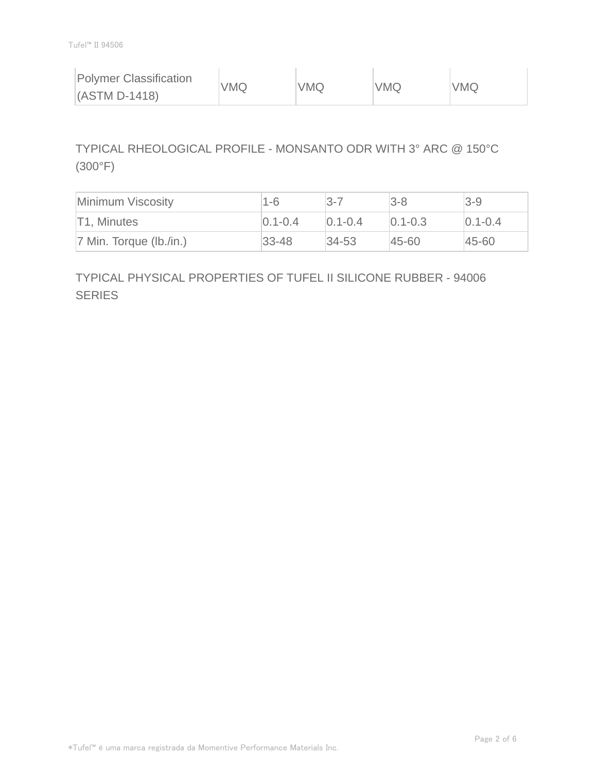| <b>Polymer Classification</b> | <b>VMQ</b> | <b>VMQ</b> | VMQ | <b>VMQ</b> |
|-------------------------------|------------|------------|-----|------------|
| $(ASTM D-1418)$               |            |            |     |            |

# TYPICAL RHEOLOGICAL PROFILE - MONSANTO ODR WITH 3° ARC @ 150°C (300°F)

| Minimum Viscosity          | $1-6$       | l3-7          | $3-8$         | $3 - 9$     |
|----------------------------|-------------|---------------|---------------|-------------|
| T1, Minutes                | $0.1 - 0.4$ | $ 0.1 - 0.4 $ | $[0.1 - 0.3]$ | $0.1 - 0.4$ |
| $ 7$ Min. Torque (lb./in.) | $ 33 - 48 $ | $34 - 53$     | $ 45 - 60 $   | 45-60       |

# TYPICAL PHYSICAL PROPERTIES OF TUFEL II SILICONE RUBBER - 94006 **SERIES**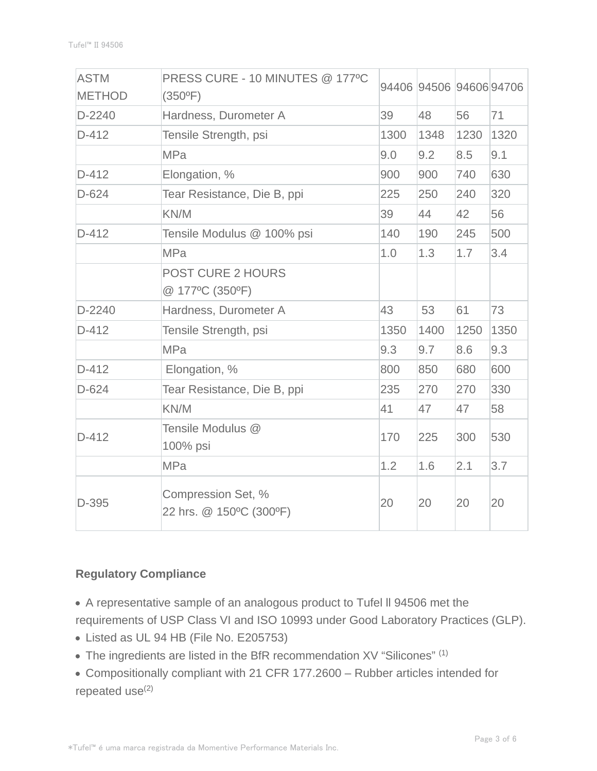| <b>ASTM</b><br><b>METHOD</b> | PRESS CURE - 10 MINUTES @ 177°C<br>$(350^{\circ}F)$ |      | 94406 94506 94606 94706 |      |      |
|------------------------------|-----------------------------------------------------|------|-------------------------|------|------|
| $D-2240$                     | Hardness, Durometer A                               | 39   | 48                      | 56   | 71   |
| $D-412$                      | Tensile Strength, psi                               | 1300 | 1348                    | 1230 | 1320 |
|                              | <b>MPa</b>                                          | 9.0  | 9.2                     | 8.5  | 9.1  |
| $D-412$                      | Elongation, %                                       | 900  | 900                     | 740  | 630  |
| $D-624$                      | Tear Resistance, Die B, ppi                         | 225  | 250                     | 240  | 320  |
|                              | KN/M                                                | 39   | 44                      | 42   | 56   |
| $D-412$                      | Tensile Modulus @ 100% psi                          | 140  | 190                     | 245  | 500  |
|                              | <b>MPa</b>                                          | 1.0  | 1.3                     | 1.7  | 3.4  |
|                              | <b>POST CURE 2 HOURS</b><br>@ 177°C (350°F)         |      |                         |      |      |
| $D-2240$                     | Hardness, Durometer A                               | 43   | 53                      | 61   | 73   |
| $D-412$                      | Tensile Strength, psi                               | 1350 | 1400                    | 1250 | 1350 |
|                              | <b>MPa</b>                                          | 9.3  | 9.7                     | 8.6  | 9.3  |
| $D-412$                      | Elongation, %                                       | 800  | 850                     | 680  | 600  |
| $D-624$                      | Tear Resistance, Die B, ppi                         | 235  | 270                     | 270  | 330  |
|                              | KN/M                                                | 41   | 47                      | 47   | 58   |
| $D-412$                      | Tensile Modulus @<br>100% psi                       | 170  | 225                     | 300  | 530  |
|                              | <b>MPa</b>                                          | 1.2  | 1.6                     | 2.1  | 3.7  |
| D-395                        | Compression Set, %<br>22 hrs. @ 150°C (300°F)       | 20   | 20                      | 20   | 20   |

### **Regulatory Compliance**

- A representative sample of an analogous product to Tufel ll 94506 met the requirements of USP Class VI and ISO 10993 under Good Laboratory Practices (GLP).
- Listed as UL 94 HB (File No. E205753)
- The ingredients are listed in the BfR recommendation XV "Silicones" (1)
- Compositionally compliant with 21 CFR 177.2600 Rubber articles intended for repeated use $(2)$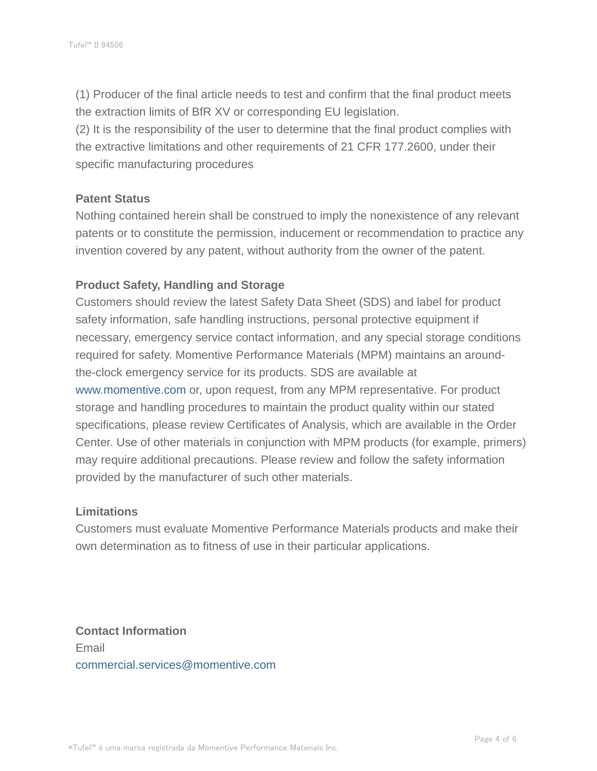(1) Producer of the final article needs to test and confirm that the final product meets the extraction limits of BfR XV or corresponding EU legislation.

(2) It is the responsibility of the user to determine that the final product complies with the extractive limitations and other requirements of 21 CFR 177.2600, under their specific manufacturing procedures

#### **Patent Status**

Nothing contained herein shall be construed to imply the nonexistence of any relevant patents or to constitute the permission, inducement or recommendation to practice any invention covered by any patent, without authority from the owner of the patent.

### **Product Safety, Handling and Storage**

Customers should review the latest Safety Data Sheet (SDS) and label for product safety information, safe handling instructions, personal protective equipment if necessary, emergency service contact information, and any special storage conditions required for safety. Momentive Performance Materials (MPM) maintains an aroundthe-clock emergency service for its products. SDS are available at www.momentive.com or, upon request, from any MPM representative. For product storage and handling procedures to maintain the product quality within our stated specifications, please review Certificates of Analysis, which are available in the Order Center. Use of other materials in conjunction with MPM products (for example, primers) may require additional precautions. Please review and follow the safety information provided by the manufacturer of such other materials.

#### **Limitations**

Customers must evaluate Momentive Performance Materials products and make their own determination as to fitness of use in their particular applications.

**Contact Information** Email commercial.services@momentive.com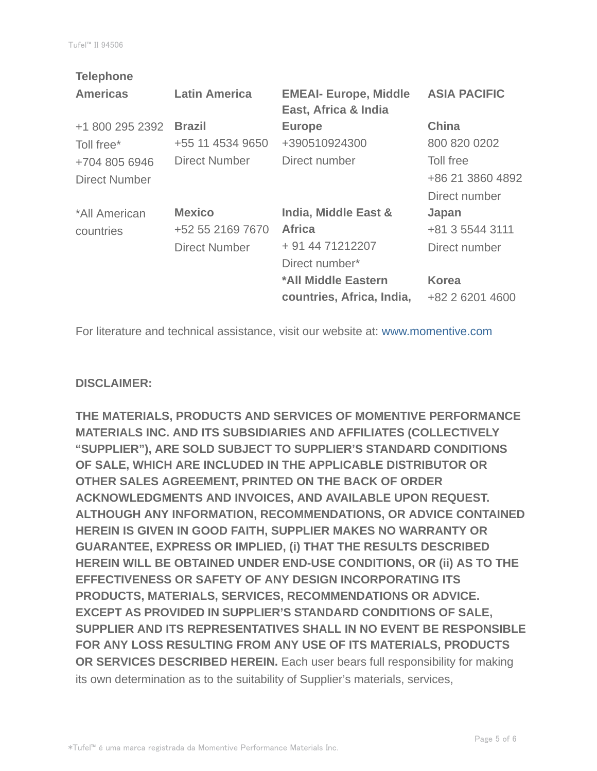| <b>Telephone</b> |                      |                              |                     |
|------------------|----------------------|------------------------------|---------------------|
| <b>Americas</b>  | <b>Latin America</b> | <b>EMEAI- Europe, Middle</b> | <b>ASIA PACIFIC</b> |
|                  |                      | East, Africa & India         |                     |
| +1 800 295 2392  | <b>Brazil</b>        | <b>Europe</b>                | <b>China</b>        |
| Toll free*       | +55 11 4534 9650     | +390510924300                | 800 820 0202        |
| +704 805 6946    | <b>Direct Number</b> | Direct number                | Toll free           |
| Direct Number    |                      |                              | +86 21 3860 4892    |
|                  |                      |                              | Direct number       |
| *All American    | <b>Mexico</b>        | India, Middle East &         | Japan               |
| countries        | +52 55 2169 7670     | <b>Africa</b>                | +81 3 5544 3111     |
|                  | <b>Direct Number</b> | + 91 44 71212207             | Direct number       |
|                  |                      | Direct number*               |                     |
|                  |                      | *All Middle Eastern          | <b>Korea</b>        |
|                  |                      | countries, Africa, India,    | +82 2 6201 4600     |
|                  |                      |                              |                     |

For literature and technical assistance, visit our website at: www.momentive.com

#### **DISCLAIMER:**

**THE MATERIALS, PRODUCTS AND SERVICES OF MOMENTIVE PERFORMANCE MATERIALS INC. AND ITS SUBSIDIARIES AND AFFILIATES (COLLECTIVELY "SUPPLIER"), ARE SOLD SUBJECT TO SUPPLIER'S STANDARD CONDITIONS OF SALE, WHICH ARE INCLUDED IN THE APPLICABLE DISTRIBUTOR OR OTHER SALES AGREEMENT, PRINTED ON THE BACK OF ORDER ACKNOWLEDGMENTS AND INVOICES, AND AVAILABLE UPON REQUEST. ALTHOUGH ANY INFORMATION, RECOMMENDATIONS, OR ADVICE CONTAINED HEREIN IS GIVEN IN GOOD FAITH, SUPPLIER MAKES NO WARRANTY OR GUARANTEE, EXPRESS OR IMPLIED, (i) THAT THE RESULTS DESCRIBED HEREIN WILL BE OBTAINED UNDER END-USE CONDITIONS, OR (ii) AS TO THE EFFECTIVENESS OR SAFETY OF ANY DESIGN INCORPORATING ITS PRODUCTS, MATERIALS, SERVICES, RECOMMENDATIONS OR ADVICE. EXCEPT AS PROVIDED IN SUPPLIER'S STANDARD CONDITIONS OF SALE, SUPPLIER AND ITS REPRESENTATIVES SHALL IN NO EVENT BE RESPONSIBLE FOR ANY LOSS RESULTING FROM ANY USE OF ITS MATERIALS, PRODUCTS OR SERVICES DESCRIBED HEREIN.** Each user bears full responsibility for making its own determination as to the suitability of Supplier's materials, services,